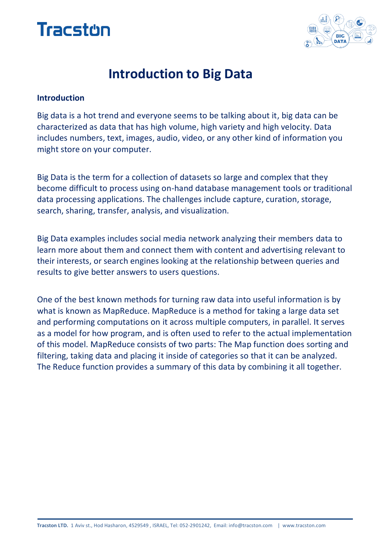



# **Introduction to Big Data**

#### **Introduction**

Big data is a hot trend and everyone seems to be talking about it, big data can be characterized as data that has high volume, high variety and high velocity. Data includes numbers, text, images, audio, video, or any other kind of information you might store on your computer.

Big Data is the term for a collection of datasets so large and complex that they become difficult to process using on-hand database management tools or traditional data processing applications. The challenges include capture, curation, storage, search, sharing, transfer, analysis, and visualization.

Big Data examples includes social media network analyzing their members data to learn more about them and connect them with content and advertising relevant to their interests, or search engines looking at the relationship between queries and results to give better answers to users questions.

One of the best known methods for turning raw data into useful information is by what is known as MapReduce. MapReduce is a method for taking a large data set and performing computations on it across multiple computers, in parallel. It serves as a model for how program, and is often used to refer to the actual implementation of this model. MapReduce consists of two parts: The Map function does sorting and filtering, taking data and placing it inside of categories so that it can be analyzed. The Reduce function provides a summary of this data by combining it all together.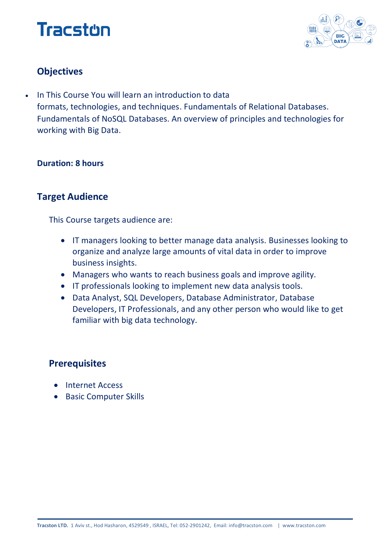# **Tracston**



# **Objectives**

 In This Course You will learn an introduction to data formats, technologies, and techniques. Fundamentals of Relational Databases. Fundamentals of NoSQL Databases. An overview of principles and technologies for working with Big Data.

#### **Duration: 8 hours**

### **Target Audience**

This Course targets audience are:

- IT managers looking to better manage data analysis. Businesses looking to organize and analyze large amounts of vital data in order to improve business insights.
- Managers who wants to reach business goals and improve agility.
- IT professionals looking to implement new data analysis tools.
- Data Analyst, SQL Developers, Database Administrator, Database Developers, IT Professionals, and any other person who would like to get familiar with big data technology.

## **Prerequisites**

- Internet Access
- **•** Basic Computer Skills